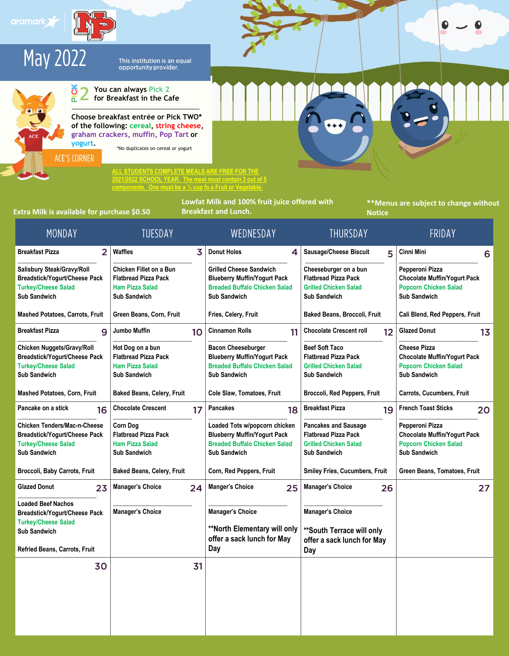



This institution is an equal<br>opportunity provider.



**You can always Pick 2**  Z **for Breakfast in the Cafe**

**Choose breakfast entrée or Pick TWO\* of the following: cereal, string cheese, graham crackers, muffin, Pop Tart or yogurt.**

\*No duplicates on cereal or yogurt

**ALL STUDENTS COMPLETE MEALS ARE FREE FOR THE 2021/2022 SCHOOL YEAR. The meal must contain 3 out of 5** 

**components. One must be a ½ cup fo a Fruit or Vegetable.**

**Extra Milk is available for purchase \$0.50** 

**Lowfat Milk and 100% fruit juice offered with** 

**\*\*Menus are subject to change without Notice**

| MONDAY                                                                                                                                                  | <b>IUESDAY</b>                                                                                          |    | WEDNESDAY                                                                                                                            | <b>IHURSDAY</b>                                                                                                   | FRIDAY                                                                                                            |
|---------------------------------------------------------------------------------------------------------------------------------------------------------|---------------------------------------------------------------------------------------------------------|----|--------------------------------------------------------------------------------------------------------------------------------------|-------------------------------------------------------------------------------------------------------------------|-------------------------------------------------------------------------------------------------------------------|
| $\overline{2}$<br><b>Breakfast Pizza</b>                                                                                                                | Waffles                                                                                                 | 3  | <b>Donut Holes</b><br>4                                                                                                              | <b>Sausage/Cheese Biscuit</b><br>5                                                                                | Cinni Mini<br>6                                                                                                   |
| Salisbury Steak/Gravy/Roll<br><b>Breadstick/Yogurt/Cheese Pack</b><br><b>Turkey/Cheese Salad</b><br><b>Sub Sandwich</b>                                 | Chicken Fillet on a Bun<br><b>Flatbread Pizza Pack</b><br><b>Ham Pizza Salad</b><br><b>Sub Sandwich</b> |    | <b>Grilled Cheese Sandwich</b><br><b>Blueberry Muffin/Yogurt Pack</b><br><b>Breaded Buffalo Chicken Salad</b><br><b>Sub Sandwich</b> | Cheeseburger on a bun<br><b>Flatbread Pizza Pack</b><br><b>Grilled Chicken Salad</b><br><b>Sub Sandwich</b>       | Pepperoni Pizza<br><b>Chocolate Muffin/Yogurt Pack</b><br><b>Popcorn Chicken Salad</b><br><b>Sub Sandwich</b>     |
| Mashed Potatoes, Carrots, Fruit                                                                                                                         | Green Beans, Corn, Fruit                                                                                |    | Fries, Celery, Fruit                                                                                                                 | Baked Beans, Broccoli, Fruit                                                                                      | Cali Blend, Red Peppers, Fruit                                                                                    |
| <b>Breakfast Pizza</b><br>9                                                                                                                             | <b>Jumbo Muffin</b>                                                                                     | 10 | <b>Cinnamon Rolls</b><br>11                                                                                                          | <b>Chocolate Crescent roll</b><br>12                                                                              | <b>Glazed Donut</b><br>13                                                                                         |
| Chicken Nuggets/Gravy/Roll<br><b>Breadstick/Yogurt/Cheese Pack</b><br><b>Turkey/Cheese Salad</b><br><b>Sub Sandwich</b>                                 | Hot Dog on a bun<br><b>Flatbread Pizza Pack</b><br><b>Ham Pizza Salad</b><br><b>Sub Sandwich</b>        |    | <b>Bacon Cheeseburger</b><br><b>Blueberry Muffin/Yogurt Pack</b><br><b>Breaded Buffalo Chicken Salad</b><br><b>Sub Sandwich</b>      | <b>Beef Soft Taco</b><br><b>Flatbread Pizza Pack</b><br><b>Grilled Chicken Salad</b><br><b>Sub Sandwich</b>       | <b>Cheese Pizza</b><br><b>Chocolate Muffin/Yogurt Pack</b><br><b>Popcorn Chicken Salad</b><br><b>Sub Sandwich</b> |
| <b>Mashed Potatoes, Corn, Fruit</b>                                                                                                                     | <b>Baked Beans, Celery, Fruit</b>                                                                       |    | Cole Slaw, Tomatoes, Fruit                                                                                                           | Broccoli, Red Peppers, Fruit                                                                                      | Carrots, Cucumbers, Fruit                                                                                         |
| Pancake on a stick<br>16                                                                                                                                | <b>Chocolate Crescent</b>                                                                               | 17 | <b>Pancakes</b><br>18                                                                                                                | <b>Breakfast Pizza</b><br>19                                                                                      | <b>French Toast Sticks</b><br>20                                                                                  |
| <b>Chicken Tenders/Mac-n-Cheese</b><br><b>Breadstick/Yogurt/Cheese Pack</b><br><b>Turkey/Cheese Salad</b><br><b>Sub Sandwich</b>                        | <b>Corn Dog</b><br><b>Flatbread Pizza Pack</b><br><b>Ham Pizza Salad</b><br><b>Sub Sandwich</b>         |    | Loaded Tots w/popcorn chicken<br><b>Blueberry Muffin/Yogurt Pack</b><br><b>Breaded Buffalo Chicken Salad</b><br><b>Sub Sandwich</b>  | <b>Pancakes and Sausage</b><br><b>Flatbread Pizza Pack</b><br><b>Grilled Chicken Salad</b><br><b>Sub Sandwich</b> | Pepperoni Pizza<br><b>Chocolate Muffin/Yogurt Pack</b><br><b>Popcorn Chicken Salad</b><br><b>Sub Sandwich</b>     |
| Broccoli, Baby Carrots, Fruit                                                                                                                           | <b>Baked Beans, Celery, Fruit</b>                                                                       |    | Corn, Red Peppers, Fruit                                                                                                             | <b>Smiley Fries, Cucumbers, Fruit</b>                                                                             | Green Beans, Tomatoes, Fruit                                                                                      |
| <b>Glazed Donut</b><br>23                                                                                                                               | <b>Manager's Choice</b>                                                                                 | 24 | <b>Manger's Choice</b><br>25                                                                                                         | <b>Manager's Choice</b><br>26                                                                                     | 27                                                                                                                |
| <b>Loaded Beef Nachos</b><br><b>Breadstick/Yogurt/Cheese Pack</b><br><b>Turkey/Cheese Salad</b><br><b>Sub Sandwich</b><br>Refried Beans, Carrots, Fruit | <b>Manager's Choice</b>                                                                                 |    | <b>Manager's Choice</b><br>**North Elementary will only<br>offer a sack lunch for May<br>Day                                         | <b>Manager's Choice</b><br>** South Terrace will only<br>offer a sack lunch for May<br>Day                        |                                                                                                                   |
| 30                                                                                                                                                      |                                                                                                         | 31 |                                                                                                                                      |                                                                                                                   |                                                                                                                   |
|                                                                                                                                                         |                                                                                                         |    |                                                                                                                                      |                                                                                                                   |                                                                                                                   |
|                                                                                                                                                         |                                                                                                         |    |                                                                                                                                      |                                                                                                                   |                                                                                                                   |
|                                                                                                                                                         |                                                                                                         |    |                                                                                                                                      |                                                                                                                   |                                                                                                                   |

◐